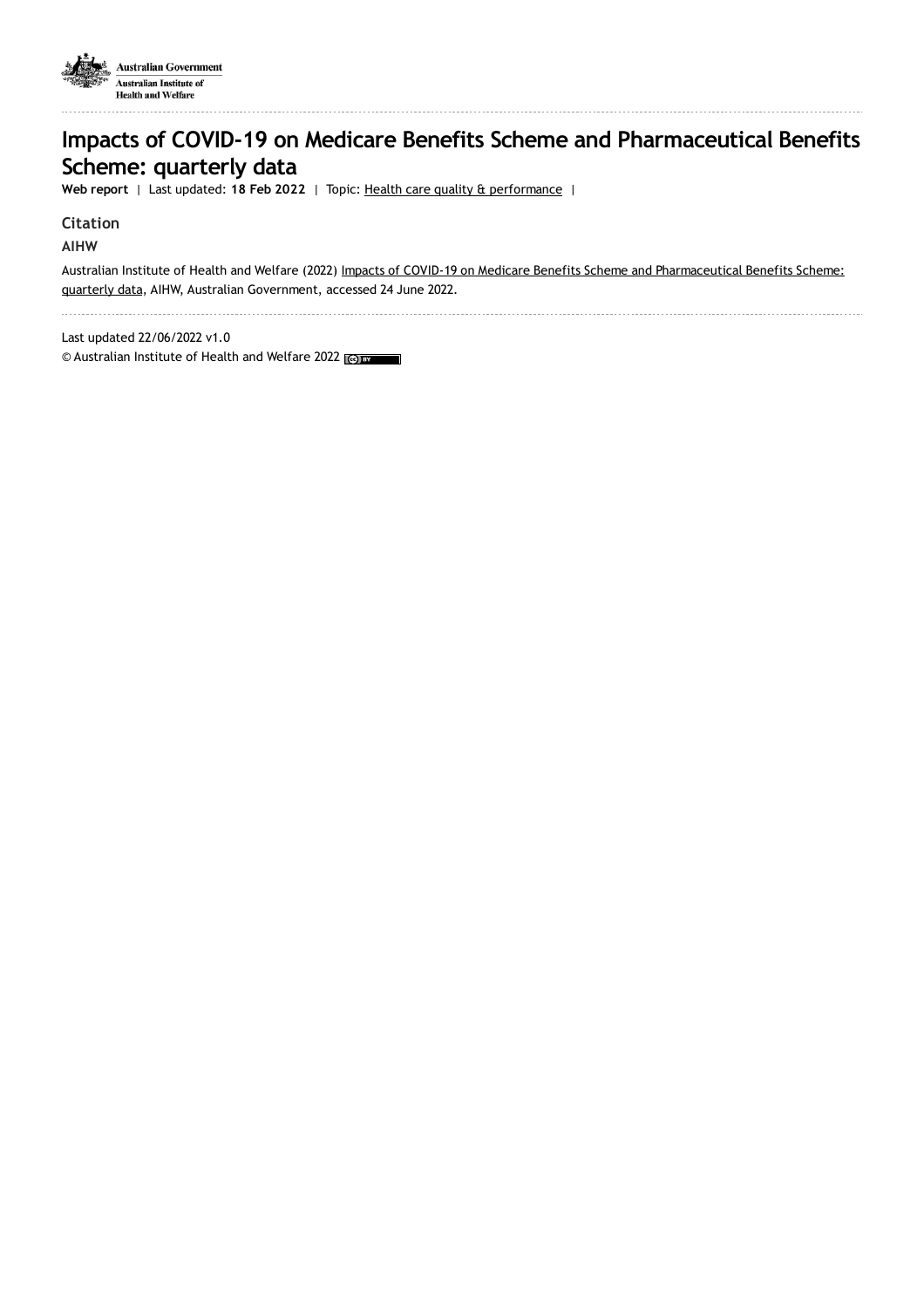

# **Impacts of COVID-19 on Medicare Benefits Scheme and Pharmaceutical Benefits Scheme: quarterly data**

**Web report** | Last updated: **18 Feb 2022** | Topic: Health care quality & [performance](https://www.aihw.gov.au/reports-data/health-welfare-overview/health-care-quality-performance) |

#### **Citation**

**AIHW**

Australian Institute of Health and Welfare (2022) Impacts of COVID-19 on Medicare Benefits Scheme and [Pharmaceutical](https://www.aihw.gov.au/reports/health-care-quality-performance/impacts-of-covid19-mbs-pbs-quarterly-data) Benefits Scheme: quarterly data, AIHW, Australian Government, accessed 24 June 2022.

Last updated 22/06/2022 v1.0

© Australian Institute of Health and Welfare 2022 (co) BY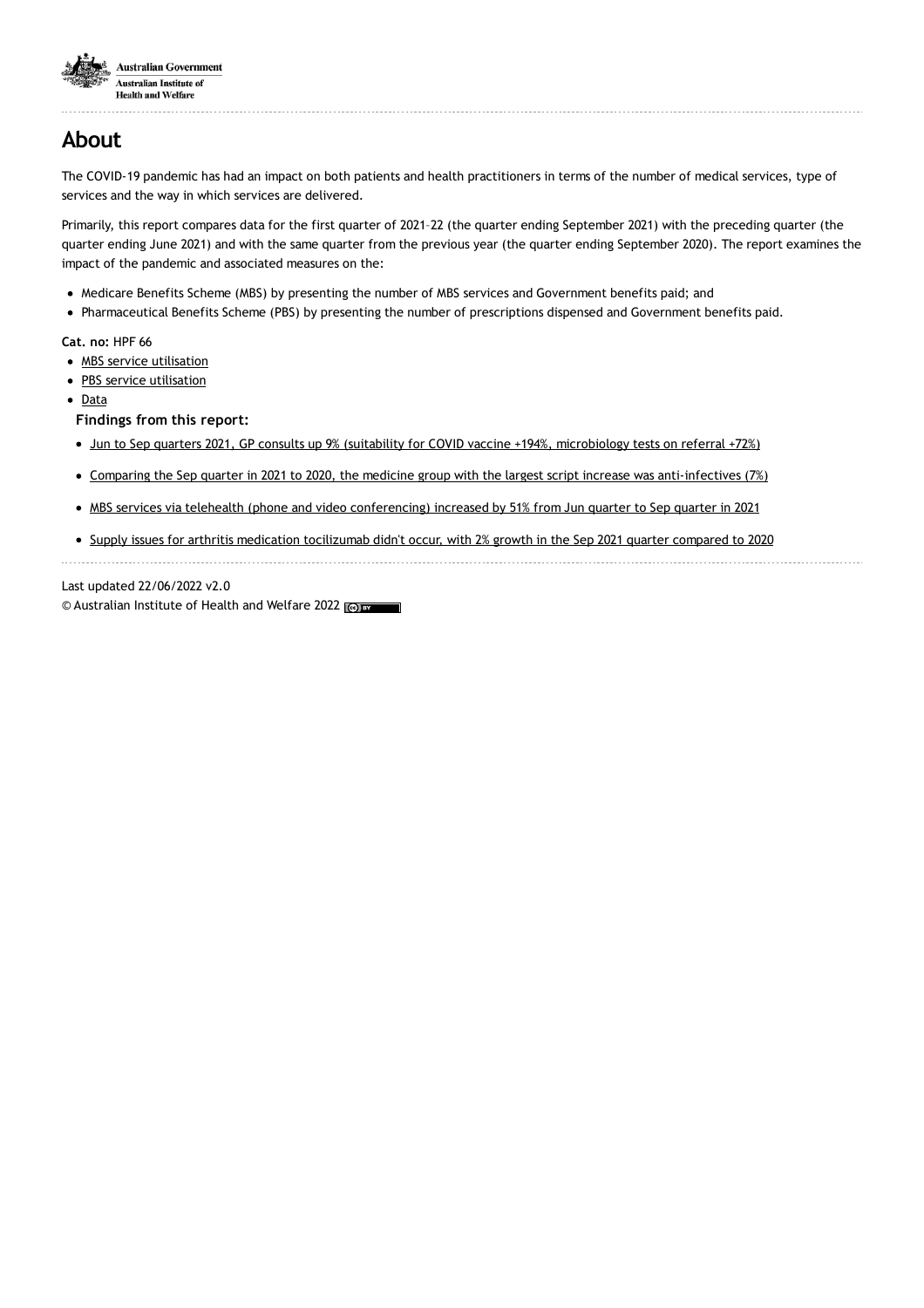

## **About**

The COVID-19 pandemic has had an impact on both patients and health practitioners in terms of the number of medical services, type of services and the way in which services are delivered.

Primarily, this report compares data for the first quarter of 2021–22 (the quarter ending September 2021) with the preceding quarter (the quarter ending June 2021) and with the same quarter from the previous year (the quarter ending September 2020). The report examines the impact of the pandemic and associated measures on the:

- Medicare Benefits Scheme (MBS) by presenting the number of MBS services and Government benefits paid; and
- Pharmaceutical Benefits Scheme (PBS) by presenting the number of prescriptions dispensed and Government benefits paid.

**Cat. no:** HPF 66

- MBS service [utilisation](https://www.aihw.gov.au/reports/health-care-quality-performance/impacts-of-covid19-mbs-pbs-quarterly-data/contents/impact-on-mbs-service-utilisation)
- PBS service [utilisation](https://www.aihw.gov.au/reports/health-care-quality-performance/impacts-of-covid19-mbs-pbs-quarterly-data/contents/impact-on-pbs-service-utilisation)
- [Data](https://www.aihw.gov.au/reports/health-care-quality-performance/impacts-of-covid19-mbs-pbs-quarterly-data/data)

**Findings from this report:**

- Jun to Sep quarters 2021, GP consults up 9% (suitability for COVID vaccine +194%, [microbiology](https://www.aihw.gov.au/reports/health-care-quality-performance/impacts-of-covid19-mbs-pbs-quarterly-data/contents/impact-on-mbs-service-utilisation) tests on referral +72%)
- Comparing the Sep quarter in 2021 to 2020, the medicine group with the largest script increase was [anti-infectives](https://www.aihw.gov.au/reports/health-care-quality-performance/impacts-of-covid19-mbs-pbs-quarterly-data/contents/impact-on-pbs-service-utilisation) (7%)
- MBS services via telehealth (phone and video [conferencing\)](https://www.aihw.gov.au/reports/health-care-quality-performance/impacts-of-covid19-mbs-pbs-quarterly-data/contents/impact-on-mbs-service-utilisation) increased by 51% from Jun quarter to Sep quarter in 2021
- Supply issues for arthritis medication [tocilizumab](https://www.aihw.gov.au/reports/health-care-quality-performance/impacts-of-covid19-mbs-pbs-quarterly-data/contents/impact-on-pbs-service-utilisation) didn't occur, with 2% growth in the Sep 2021 quarter compared to 2020

Last updated 22/06/2022 v2.0

© Australian Institute of Health and Welfare 2022 (@) BY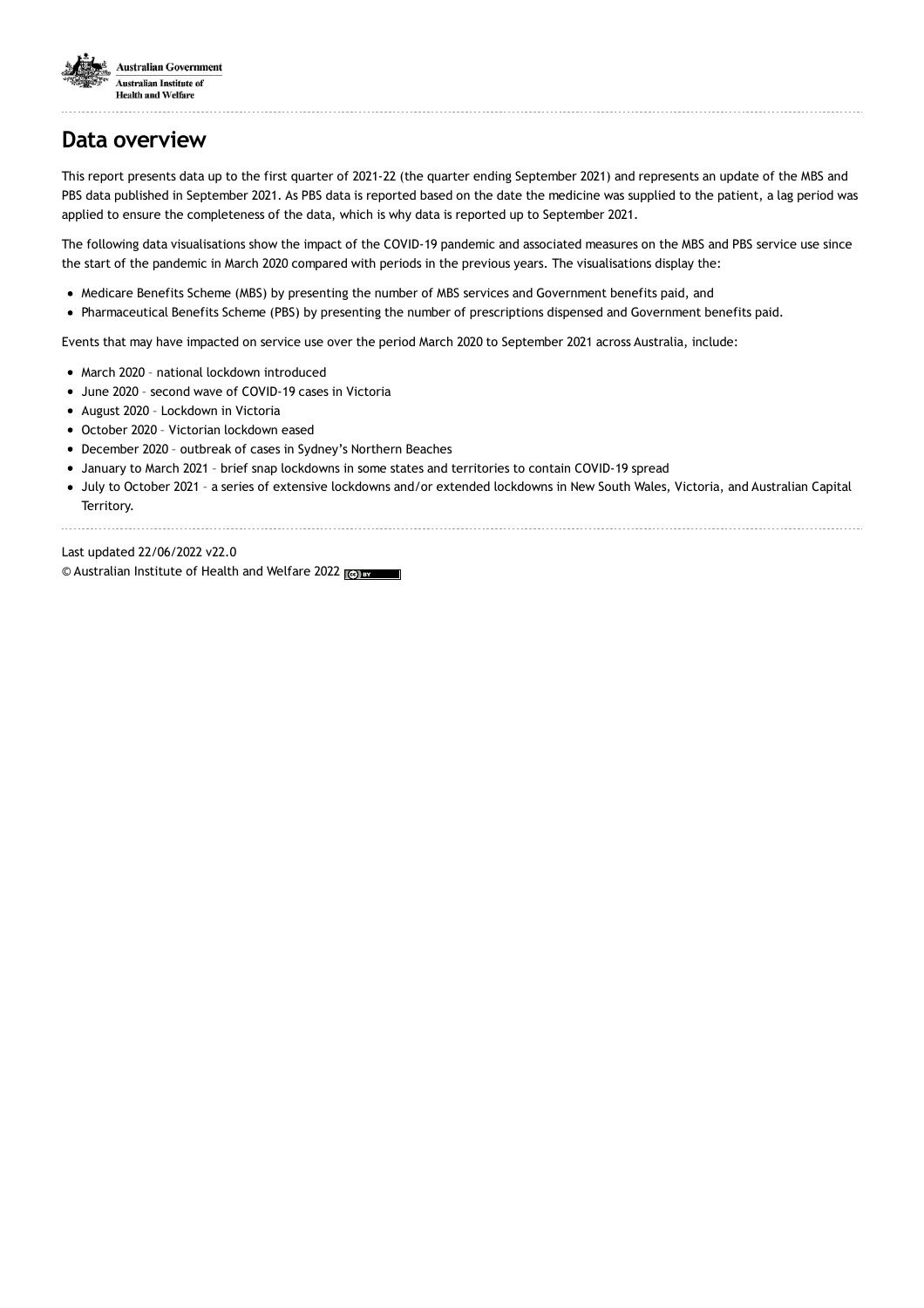

# **Data overview**

This report presents data up to the first quarter of 2021-22 (the quarter ending September 2021) and represents an update of the MBS and PBS data published in September 2021. As PBS data is reported based on the date the medicine was supplied to the patient, a lag period was applied to ensure the completeness of the data, which is why data is reported up to September 2021.

The following data visualisations show the impact of the COVID-19 pandemic and associated measures on the MBS and PBS service use since the start of the pandemic in March 2020 compared with periods in the previous years. The visualisations display the:

- Medicare Benefits Scheme (MBS) by presenting the number of MBS services and Government benefits paid, and
- Pharmaceutical Benefits Scheme (PBS) by presenting the number of prescriptions dispensed and Government benefits paid.

Events that may have impacted on service use over the period March 2020 to September 2021 across Australia, include:

- March 2020 national lockdown introduced
- June 2020 second wave of COVID-19 cases in Victoria
- August 2020 Lockdown in Victoria
- October 2020 Victorian lockdown eased
- December 2020 outbreak of cases in Sydney's Northern Beaches
- January to March 2021 brief snap lockdowns in some states and territories to contain COVID-19 spread
- July to October 2021 a series of extensive lockdowns and/or extended lockdowns in New South Wales, Victoria, and Australian Capital Territory.

Last updated 22/06/2022 v22.0 © Australian Institute of Health and Welfare 2022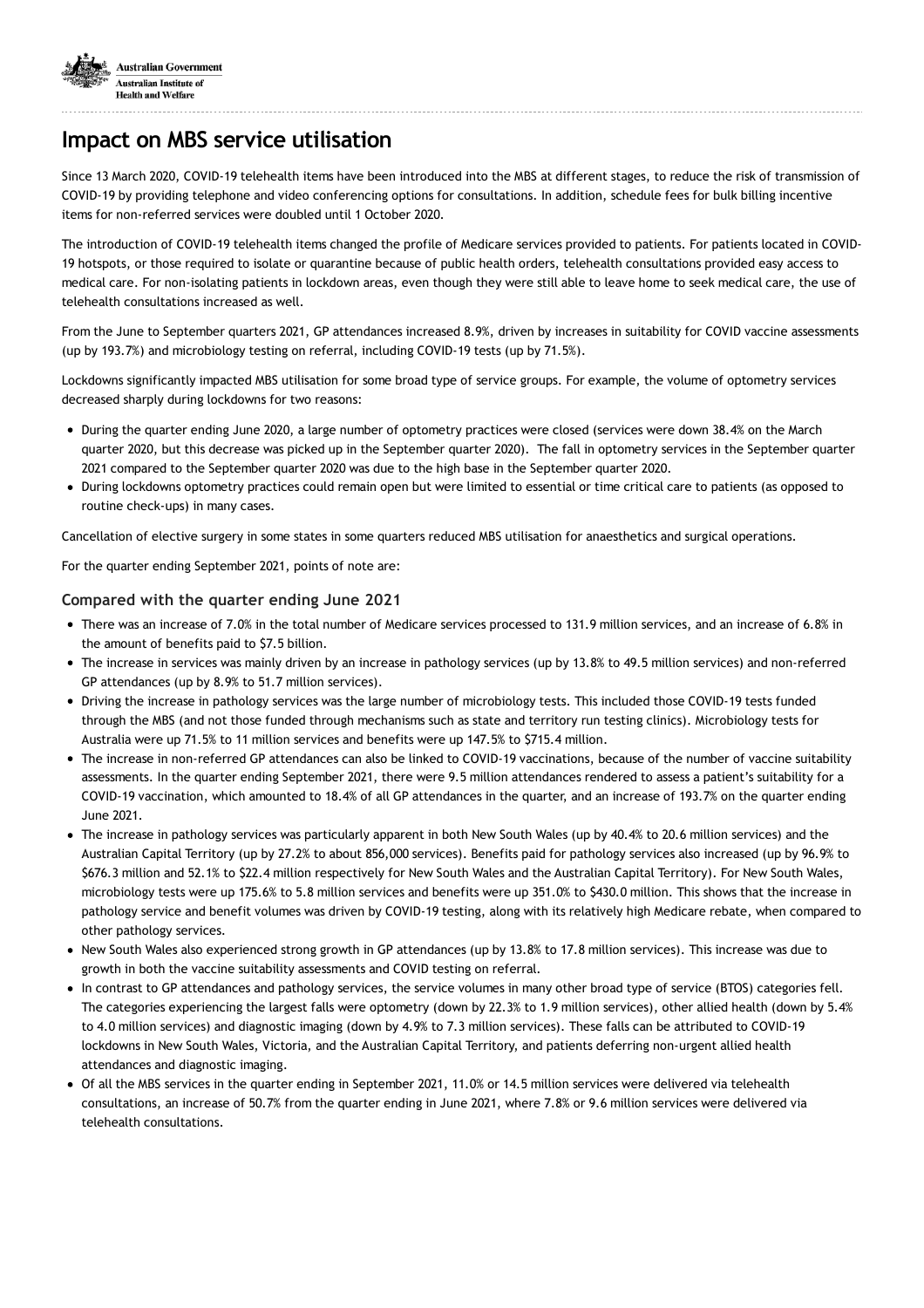

## **Impact on MBS service utilisation**

Since 13 March 2020, COVID-19 telehealth items have been introduced into the MBS at different stages, to reduce the risk of transmission of COVID-19 by providing telephone and video conferencing options for consultations. In addition, schedule fees for bulk billing incentive items for non-referred services were doubled until 1 October 2020.

The introduction of COVID-19 telehealth items changed the profile of Medicare services provided to patients. For patients located in COVID-19 hotspots, or those required to isolate or quarantine because of public health orders, telehealth consultations provided easy access to medical care. For non-isolating patients in lockdown areas, even though they were still able to leave home to seek medical care, the use of telehealth consultations increased as well.

From the June to September quarters 2021, GP attendances increased 8.9%, driven by increases in suitability for COVID vaccine assessments (up by 193.7%) and microbiology testing on referral, including COVID-19 tests (up by 71.5%).

Lockdowns significantly impacted MBS utilisation for some broad type of service groups. For example, the volume of optometry services decreased sharply during lockdowns for two reasons:

- During the quarter ending June 2020, a large number of optometry practices were closed (services were down 38.4% on the March quarter 2020, but this decrease was picked up in the September quarter 2020). The fall in optometry services in the September quarter 2021 compared to the September quarter 2020 was due to the high base in the September quarter 2020.
- During lockdowns optometry practices could remain open but were limited to essential or time critical care to patients (as opposed to routine check-ups) in many cases.

Cancellation of elective surgery in some states in some quarters reduced MBS utilisation for anaesthetics and surgical operations.

For the quarter ending September 2021, points of note are:

#### **Compared with the quarter ending June 2021**

- There was an increase of 7.0% in the total number of Medicare services processed to 131.9 million services, and an increase of 6.8% in the amount of benefits paid to \$7.5 billion.
- The increase in services was mainly driven by an increase in pathology services (up by 13.8% to 49.5 million services) and non-referred GP attendances (up by 8.9% to 51.7 million services).
- Driving the increase in pathology services was the large number of microbiology tests. This included those COVID-19 tests funded through the MBS (and not those funded through mechanisms such as state and territory run testing clinics). Microbiology tests for Australia were up 71.5% to 11 million services and benefits were up 147.5% to \$715.4 million.
- The increase in non-referred GP attendances can also be linked to COVID-19 vaccinations, because of the number of vaccine suitability assessments. In the quarter ending September 2021, there were 9.5 million attendances rendered to assess a patient's suitability for a COVID-19 vaccination, which amounted to 18.4% of all GP attendances in the quarter, and an increase of 193.7% on the quarter ending June 2021.
- The increase in pathology services was particularly apparent in both New South Wales (up by 40.4% to 20.6 million services) and the Australian Capital Territory (up by 27.2% to about 856,000 services). Benefits paid for pathology services also increased (up by 96.9% to \$676.3 million and 52.1% to \$22.4 million respectively for New South Wales and the Australian Capital Territory). For New South Wales, microbiology tests were up 175.6% to 5.8 million services and benefits were up 351.0% to \$430.0 million. This shows that the increase in pathology service and benefit volumes was driven by COVID-19 testing, along with its relatively high Medicare rebate, when compared to other pathology services.
- New South Wales also experienced strong growth in GP attendances (up by 13.8% to 17.8 million services). This increase was due to growth in both the vaccine suitability assessments and COVID testing on referral.
- In contrast to GP attendances and pathology services, the service volumes in many other broad type of service (BTOS) categories fell. The categories experiencing the largest falls were optometry (down by 22.3% to 1.9 million services), other allied health (down by 5.4% to 4.0 million services) and diagnostic imaging (down by 4.9% to 7.3 million services). These falls can be attributed to COVID-19 lockdowns in New South Wales, Victoria, and the Australian Capital Territory, and patients deferring non-urgent allied health attendances and diagnostic imaging.
- Of all the MBS services in the quarter ending in September 2021, 11.0% or 14.5 million services were delivered via telehealth consultations, an increase of 50.7% from the quarter ending in June 2021, where 7.8% or 9.6 million services were delivered via telehealth consultations.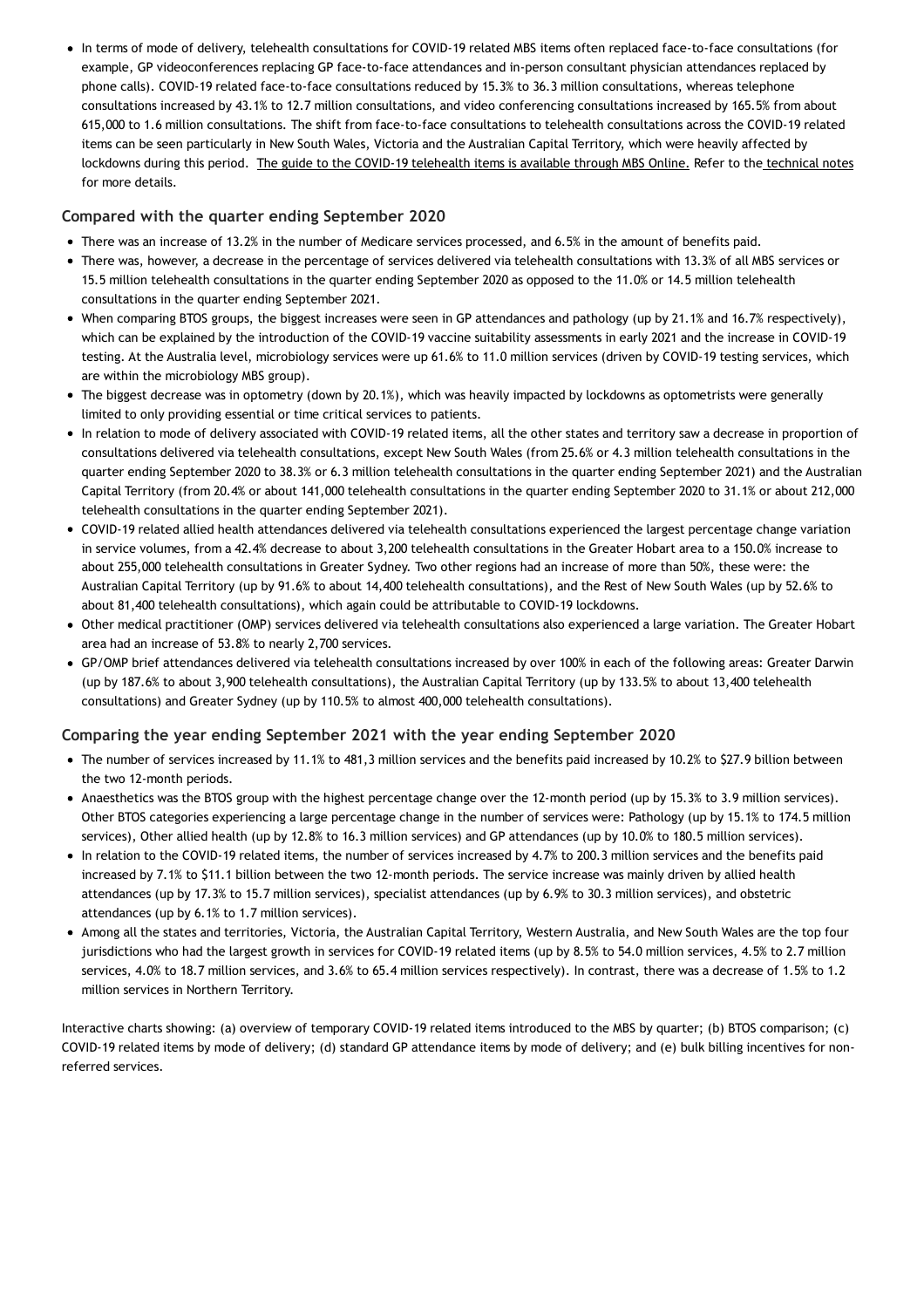In terms of mode of delivery, telehealth consultations for COVID-19 related MBS items often replaced face-to-face consultations (for example, GP videoconferences replacing GP face-to-face attendances and in-person consultant physician attendances replaced by phone calls). COVID-19 related face-to-face consultations reduced by 15.3% to 36.3 million consultations, whereas telephone consultations increased by 43.1% to 12.7 million consultations, and video conferencing consultations increased by 165.5% from about 615,000 to 1.6 million consultations. The shift from face-to-face consultations to telehealth consultations across the COVID-19 related items can be seen particularly in New South Wales, Victoria and the Australian Capital Territory, which were heavily affected by lockdowns during this period. The guide to the COVID-19 [telehealth](http://www.mbsonline.gov.au/internet/mbsonline/publishing.nsf/Content/Factsheet-TempBB) items is available through MBS Online. Refer to the [technical](https://www.aihw.gov.au/reports/health-care-quality-performance/impacts-of-covid19-mbs-pbs-quarterly-data/contents/technical-notes#Medicare_Benefits_Scheme) notes for more details.

### **Compared with the quarter ending September 2020**

- There was an increase of 13.2% in the number of Medicare services processed, and 6.5% in the amount of benefits paid.
- There was, however, a decrease in the percentage of services delivered via telehealth consultations with 13.3% of all MBS services or 15.5 million telehealth consultations in the quarter ending September 2020 as opposed to the 11.0% or 14.5 million telehealth consultations in the quarter ending September 2021.
- When comparing BTOS groups, the biggest increases were seen in GP attendances and pathology (up by 21.1% and 16.7% respectively), which can be explained by the introduction of the COVID-19 vaccine suitability assessments in early 2021 and the increase in COVID-19 testing. At the Australia level, microbiology services were up 61.6% to 11.0 million services (driven by COVID-19 testing services, which are within the microbiology MBS group).
- The biggest decrease was in optometry (down by 20.1%), which was heavily impacted by lockdowns as optometrists were generally limited to only providing essential or time critical services to patients.
- In relation to mode of delivery associated with COVID-19 related items, all the other states and territory saw a decrease in proportion of consultations delivered via telehealth consultations, except New South Wales (from 25.6% or 4.3 million telehealth consultations in the quarter ending September 2020 to 38.3% or 6.3 million telehealth consultations in the quarter ending September 2021) and the Australian Capital Territory (from 20.4% or about 141,000 telehealth consultations in the quarter ending September 2020 to 31.1% or about 212,000 telehealth consultations in the quarter ending September 2021).
- COVID-19 related allied health attendances delivered via telehealth consultations experienced the largest percentage change variation in service volumes, from a 42.4% decrease to about 3,200 telehealth consultations in the Greater Hobart area to a 150.0% increase to about 255,000 telehealth consultations in Greater Sydney. Two other regions had an increase of more than 50%, these were: the Australian Capital Territory (up by 91.6% to about 14,400 telehealth consultations), and the Rest of New South Wales (up by 52.6% to about 81,400 telehealth consultations), which again could be attributable to COVID-19 lockdowns.
- Other medical practitioner (OMP) services delivered via telehealth consultations also experienced a large variation. The Greater Hobart area had an increase of 53.8% to nearly 2,700 services.
- GP/OMP brief attendances delivered via telehealth consultations increased by over 100% in each of the following areas: Greater Darwin (up by 187.6% to about 3,900 telehealth consultations), the Australian Capital Territory (up by 133.5% to about 13,400 telehealth consultations) and Greater Sydney (up by 110.5% to almost 400,000 telehealth consultations).

#### **Comparing the year ending September 2021 with the year ending September 2020**

- The number of services increased by 11.1% to 481.3 million services and the benefits paid increased by 10.2% to \$27.9 billion between the two 12-month periods.
- Anaesthetics was the BTOS group with the highest percentage change over the 12-month period (up by 15.3% to 3.9 million services). Other BTOS categories experiencing a large percentage change in the number of services were: Pathology (up by 15.1% to 174.5 million services), Other allied health (up by 12.8% to 16.3 million services) and GP attendances (up by 10.0% to 180.5 million services).
- In relation to the COVID-19 related items, the number of services increased by 4.7% to 200.3 million services and the benefits paid increased by 7.1% to \$11.1 billion between the two 12-month periods. The service increase was mainly driven by allied health attendances (up by 17.3% to 15.7 million services), specialist attendances (up by 6.9% to 30.3 million services), and obstetric attendances (up by 6.1% to 1.7 million services).
- Among all the states and territories, Victoria, the Australian Capital Territory, Western Australia, and New South Wales are the top four jurisdictions who had the largest growth in services for COVID-19 related items (up by 8.5% to 54.0 million services, 4.5% to 2.7 million services, 4.0% to 18.7 million services, and 3.6% to 65.4 million services respectively). In contrast, there was a decrease of 1.5% to 1.2 million services in Northern Territory.

Interactive charts showing: (a) overview of temporary COVID-19 related items introduced to the MBS by quarter; (b) BTOS comparison; (c) COVID-19 related items by mode of delivery; (d) standard GP attendance items by mode of delivery; and (e) bulk billing incentives for nonreferred services.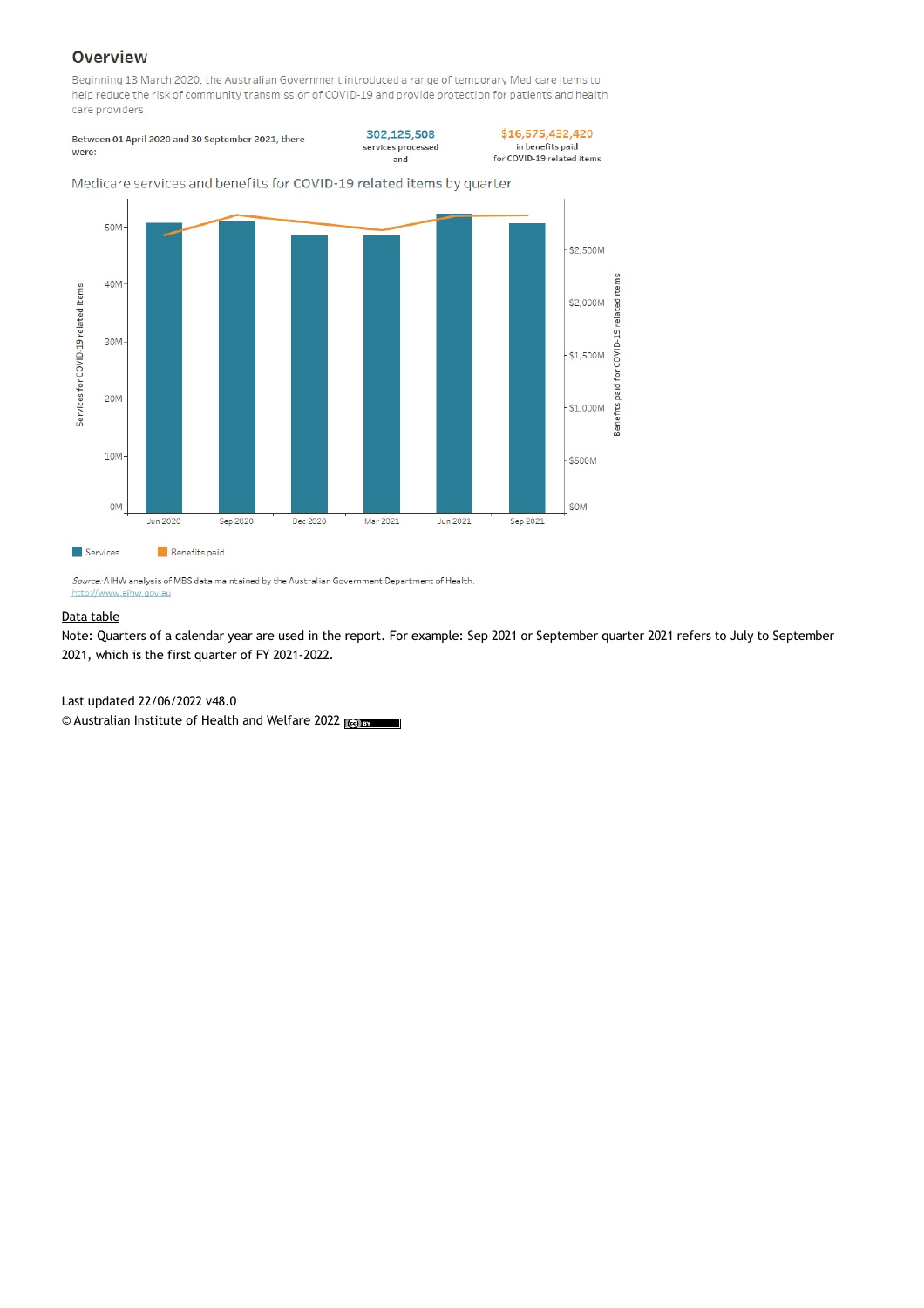## Overview

Beginning 13 March 2020, the Australian Government introduced a range of temporary Medicare items to help reduce the risk of community transmission of COVID-19 and provide protection for patients and health care providers.

Between 01 April 2020 and 30 September 2021, there were:

302,125,508 services processed and

```
$16,575,432,420
    in benefits paid
for COVID-19 related items
```
for

Benefits paid

50M  $-$ \$2,500M COVID-19 related items 40M Services for COVID-19 related items  $$2,000M$  $30M$  $-$ \$1.500M  $20M$  $-$ \$1,000M  $10M$  $$500M$ **OM** \$0M Jun 2020 Sep 2020 Dec 2020 Mar 2021 Jun 2021 Sep 2021 Services **Benefits** paid

Medicare services and benefits for COVID-19 related items by quarter

Source: AIHW analysis of MBS data maintained by the Australian Government Department of Health. http://www.aihw.gov.au

#### Data [table](https://www.aihw.gov.au/reports/hpf/66/impacts-of-covid19-mbs-pbs-quarterly-data/data/mbs-data-tables)

Note: Quarters of a calendar year are used in the report. For example: Sep 2021 or September quarter 2021 refers to July to September 2021, which is the first quarter of FY 2021-2022.

Last updated 22/06/2022 v48.0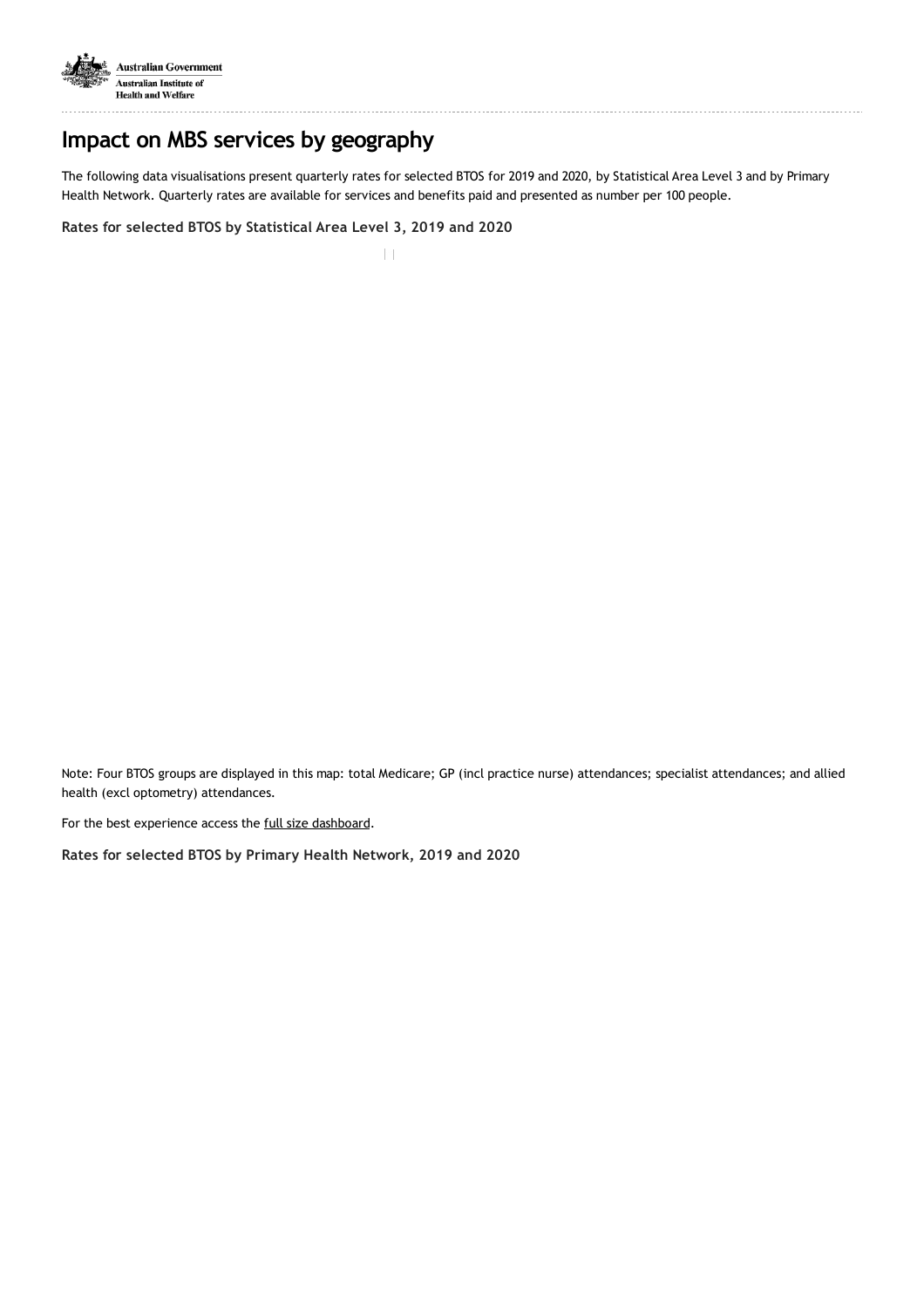

## **Impact on MBS services by geography**

The following data visualisations present quarterly rates for selected BTOS for 2019 and 2020, by Statistical Area Level 3 and by Primary Health Network. Quarterly rates are available for services and benefits paid and presented as number per 100 people.

**Rates for selected BTOS by Statistical Area Level 3, 2019 and 2020**

 $||||||$ 

Note: Four BTOS groups are displayed in this map: total Medicare; GP (incl practice nurse) attendances; specialist attendances; and allied health (excl optometry) attendances.

For the best experience access the full size [dashboard.](https://aihw.maps.arcgis.com/apps/webappviewer/index.html?id=601d1aaea8b9469ab5325c7677d7d45d)

**Rates for selected BTOS by Primary Health Network, 2019 and 2020**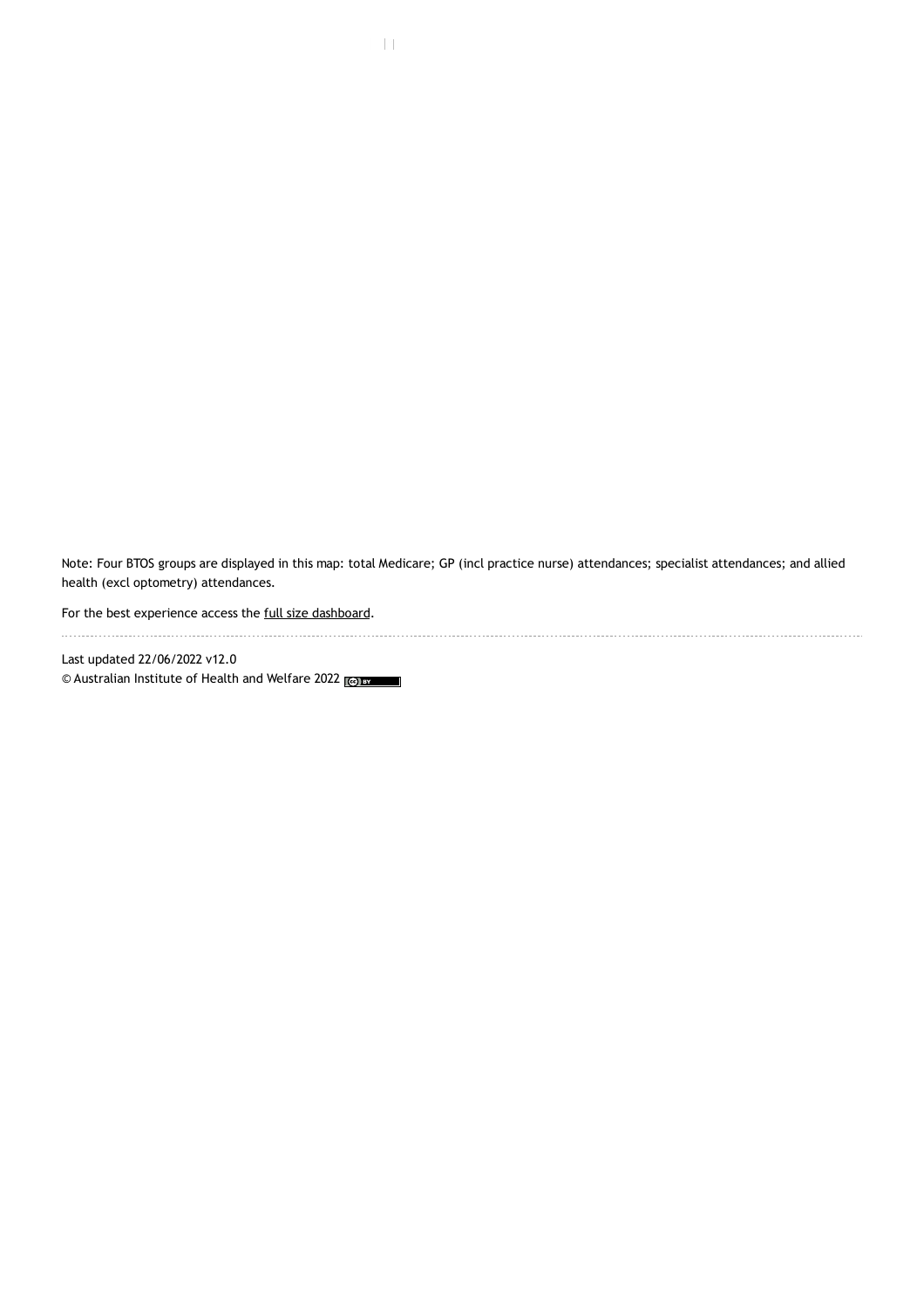Note: Four BTOS groups are displayed in this map: total Medicare; GP (incl practice nurse) attendances; specialist attendances; and allied health (excl optometry) attendances.

For the best experience access the full size [dashboard.](https://aihw.maps.arcgis.com/apps/webappviewer/index.html?id=8bd5d017cacb4eafb26493d0d743ad51)

Last updated 22/06/2022 v12.0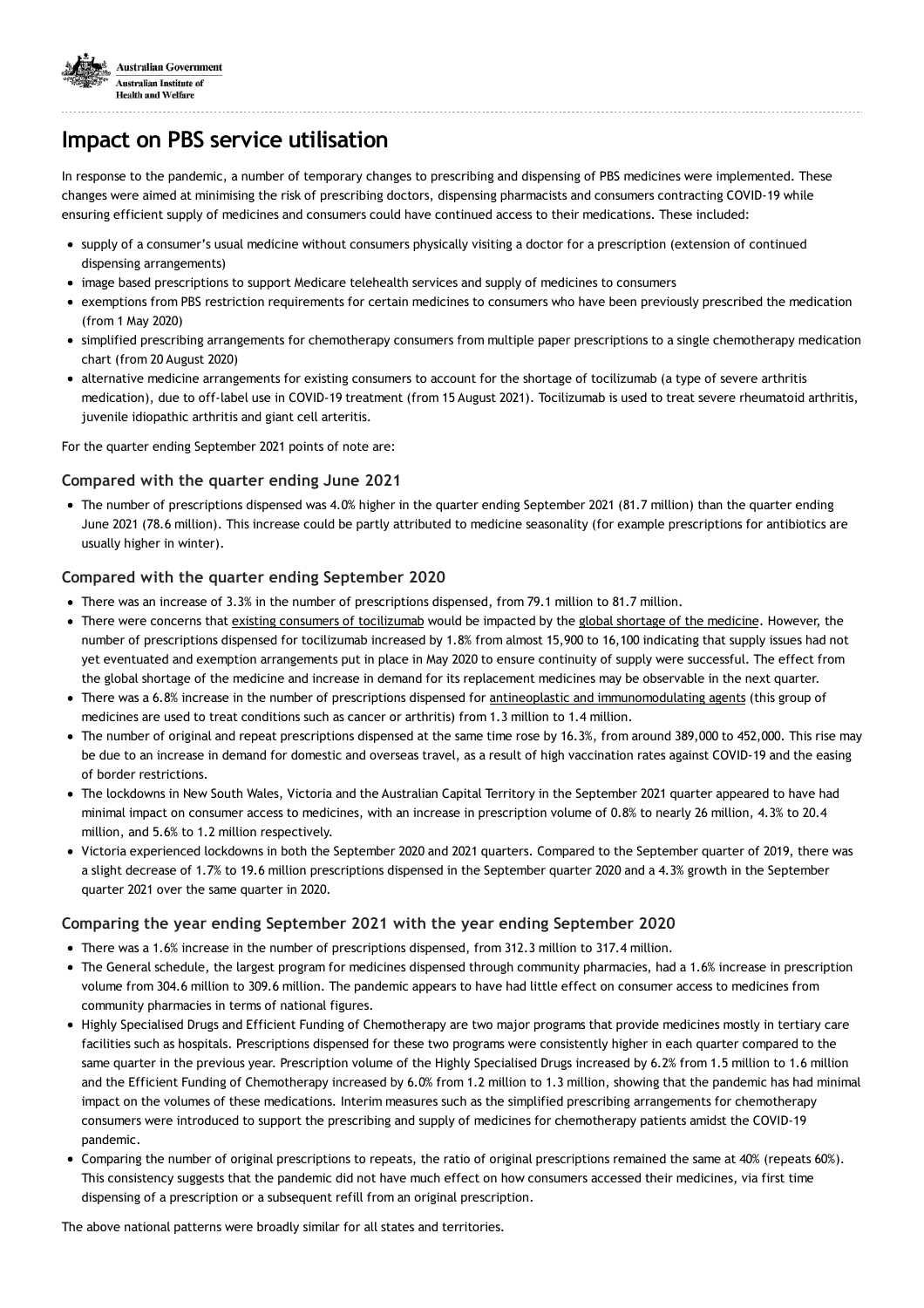

## **Impact on PBS service utilisation**

In response to the pandemic, a number of temporary changes to prescribing and dispensing of PBS medicines were implemented. These changes were aimed at minimising the risk of prescribing doctors, dispensing pharmacists and consumers contracting COVID-19 while ensuring efficient supply of medicines and consumers could have continued access to their medications. These included:

- supply of a consumer's usual medicine without consumers physically visiting a doctor for a prescription (extension of continued dispensing arrangements)
- image based prescriptions to support Medicare telehealth services and supply of medicines to consumers
- exemptions from PBS restriction requirements for certain medicines to consumers who have been previously prescribed the medication (from 1 May 2020)
- simplified prescribing arrangements for chemotherapy consumers from multiple paper prescriptions to a single chemotherapy medication chart (from 20 August 2020)
- alternative medicine arrangements for existing consumers to account for the shortage of tocilizumab (a type of severe arthritis medication), due to off-label use in COVID-19 treatment (from 15 August 2021). Tocilizumab is used to treat severe rheumatoid arthritis, juvenile idiopathic arthritis and giant cell arteritis.

For the quarter ending September 2021 points of note are:

#### **Compared with the quarter ending June 2021**

The number of prescriptions dispensed was 4.0% higher in the quarter ending September 2021 (81.7 million) than the quarter ending June 2021 (78.6 million). This increase could be partly attributed to medicine seasonality (for example prescriptions for antibiotics are usually higher in winter).

### **Compared with the quarter ending September 2020**

- There was an increase of 3.3% in the number of prescriptions dispensed, from 79.1 million to 81.7 million.
- There were concerns that existing consumers of [tocilizumab](https://www.pbs.gov.au/info/news/2021/08/pbs-arrangements-for-tocilizumab-shortage) would be impacted by the global shortage of the [medicine.](https://www.tga.gov.au/alert/shortages-tocilizumab-actemra-medicines#statement) However, the number of prescriptions dispensed for tocilizumab increased by 1.8% from almost 15,900 to 16,100 indicating that supply issues had not yet eventuated and exemption arrangements put in place in May 2020 to ensure continuity of supply were successful. The effect from the global shortage of the medicine and increase in demand for its replacement medicines may be observable in the next quarter.
- There was a 6.8% increase in the number of prescriptions dispensed for antineoplastic and [immunomodulating](https://www.pbs.gov.au/browse/body-system?depth=1&codes=l#l) agents (this group of medicines are used to treat conditions such as cancer or arthritis) from 1.3 million to 1.4 million.
- The number of original and repeat prescriptions dispensed at the same time rose by 16.3%, from around 389,000 to 452,000. This rise may be due to an increase in demand for domestic and overseas travel, as a result of high vaccination rates against COVID-19 and the easing of border restrictions.
- The lockdowns in New South Wales, Victoria and the Australian Capital Territory in the September 2021 quarter appeared to have had minimal impact on consumer access to medicines, with an increase in prescription volume of 0.8% to nearly 26 million, 4.3% to 20.4 million, and 5.6% to 1.2 million respectively.
- Victoria experienced lockdowns in both the September 2020 and 2021 quarters. Compared to the September quarter of 2019, there was a slight decrease of 1.7% to 19.6 million prescriptions dispensed in the September quarter 2020 and a 4.3% growth in the September quarter 2021 over the same quarter in 2020.

#### **Comparing the year ending September 2021 with the year ending September 2020**

- There was a 1.6% increase in the number of prescriptions dispensed, from 312.3 million to 317.4 million.
- The General schedule, the largest program for medicines dispensed through community pharmacies, had a 1.6% increase in prescription volume from 304.6 million to 309.6 million. The pandemic appears to have had little effect on consumer access to medicines from community pharmacies in terms of national figures.
- Highly Specialised Drugs and Efficient Funding of Chemotherapy are two major programs that provide medicines mostly in tertiary care facilities such as hospitals. Prescriptions dispensed for these two programs were consistently higher in each quarter compared to the same quarter in the previous year. Prescription volume of the Highly Specialised Drugs increased by 6.2% from 1.5 million to 1.6 million and the Efficient Funding of Chemotherapy increased by 6.0% from 1.2 million to 1.3 million, showing that the pandemic has had minimal impact on the volumes of these medications. Interim measures such as the simplified prescribing arrangements for chemotherapy consumers were introduced to support the prescribing and supply of medicines for chemotherapy patients amidst the COVID-19 pandemic.
- Comparing the number of original prescriptions to repeats, the ratio of original prescriptions remained the same at 40% (repeats 60%). This consistency suggests that the pandemic did not have much effect on how consumers accessed their medicines, via first time dispensing of a prescription or a subsequent refill from an original prescription.

The above national patterns were broadly similar for all states and territories.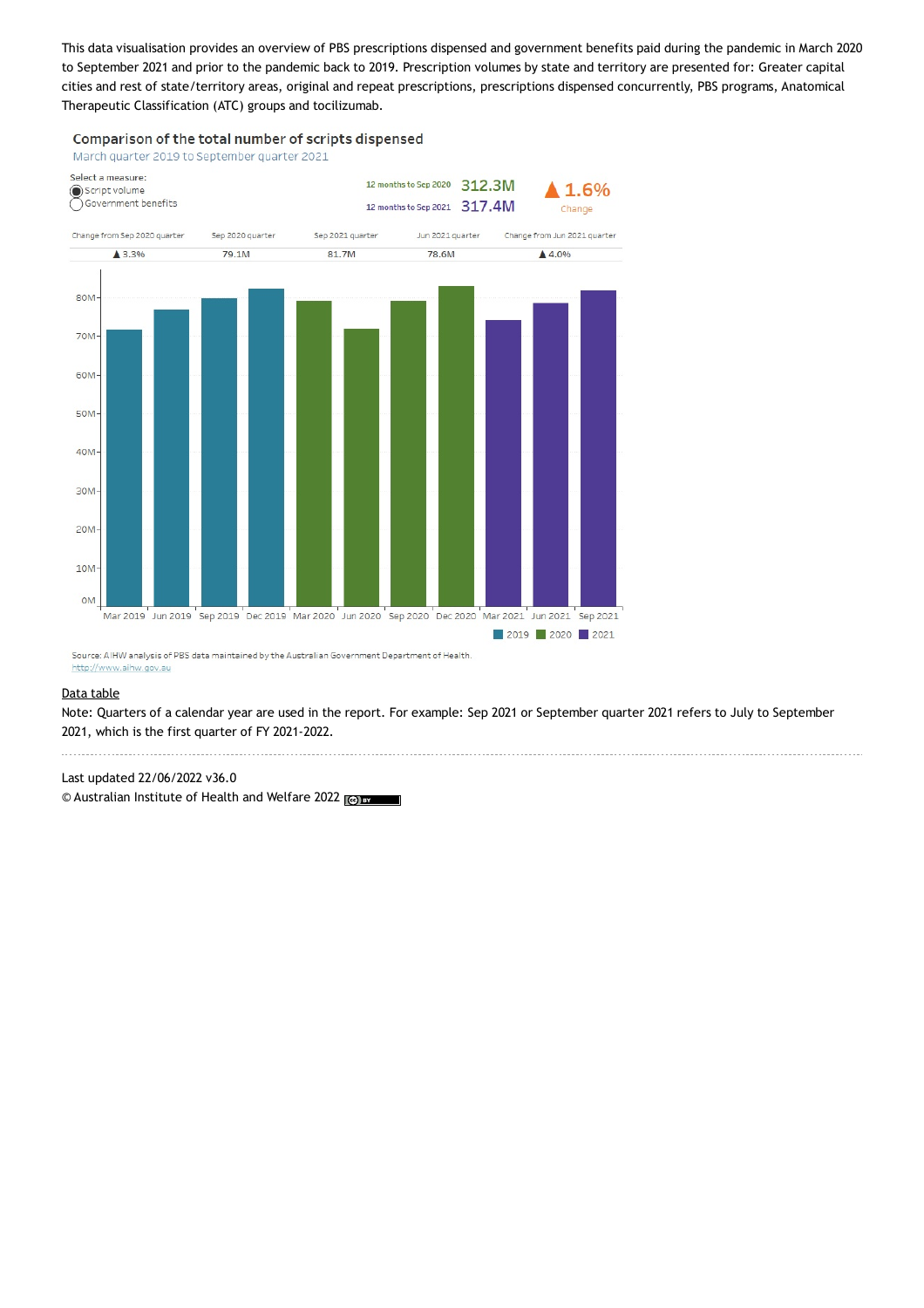This data visualisation provides an overview of PBS prescriptions dispensed and government benefits paid during the pandemic in March 2020 to September 2021 and prior to the pandemic back to 2019. Prescription volumes by state and territory are presented for: Greater capital cities and rest of state/territory areas, original and repeat prescriptions, prescriptions dispensed concurrently, PBS programs, Anatomical Therapeutic Classification (ATC) groups and tocilizumab.

Comparison of the total number of scripts dispensed





Source: AIHW analysis of PBS data maintained by the Australian Government Department of Health. http://www.aihw.gov.au

#### Data [table](https://www.aihw.gov.au/reports/hpf/66/impacts-of-covid19-mbs-pbs-quarterly-data/data/pbs-data-tables)

Note: Quarters of a calendar year are used in the report. For example: Sep 2021 or September quarter 2021 refers to July to September 2021, which is the first quarter of FY 2021-2022.

Last updated 22/06/2022 v36.0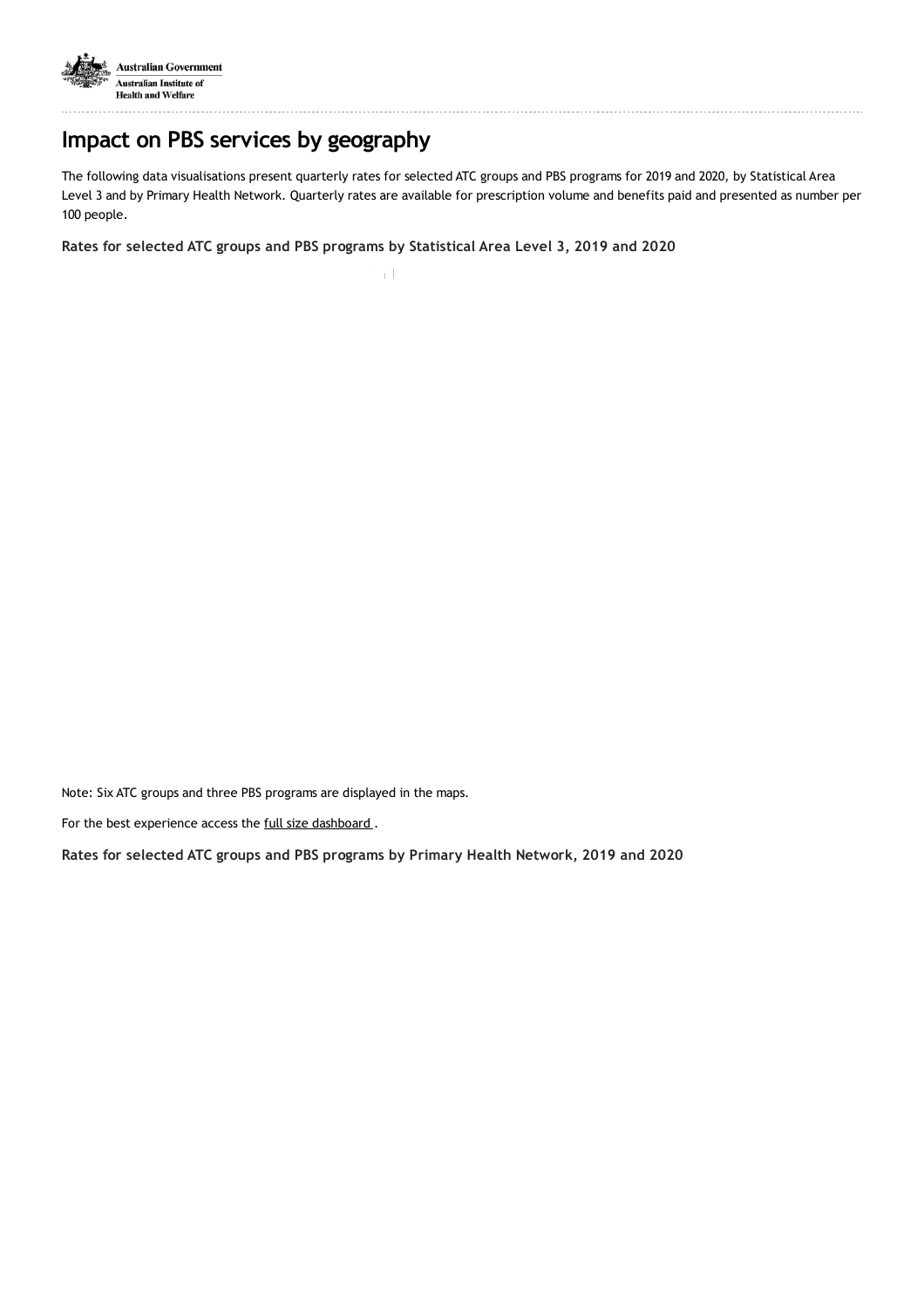

# **Impact on PBS services by geography**

The following data visualisations present quarterly rates for selected ATC groups and PBS programs for 2019 and 2020, by Statistical Area Level 3 and by Primary Health Network. Quarterly rates are available for prescription volume and benefits paid and presented as number per 100 people.

**Rates for selected ATC groups and PBS programs by Statistical Area Level 3, 2019 and 2020**

 $\Gamma \cap \Gamma$ 

Note: Six ATC groups and three PBS programs are displayed in the maps.

For the best experience access the full size [dashboard](https://aihw.maps.arcgis.com/apps/webappviewer/index.html?id=b264ae5044dc449594508b46d9b7a935).

**Rates for selected ATC groups and PBS programs by Primary Health Network, 2019 and 2020**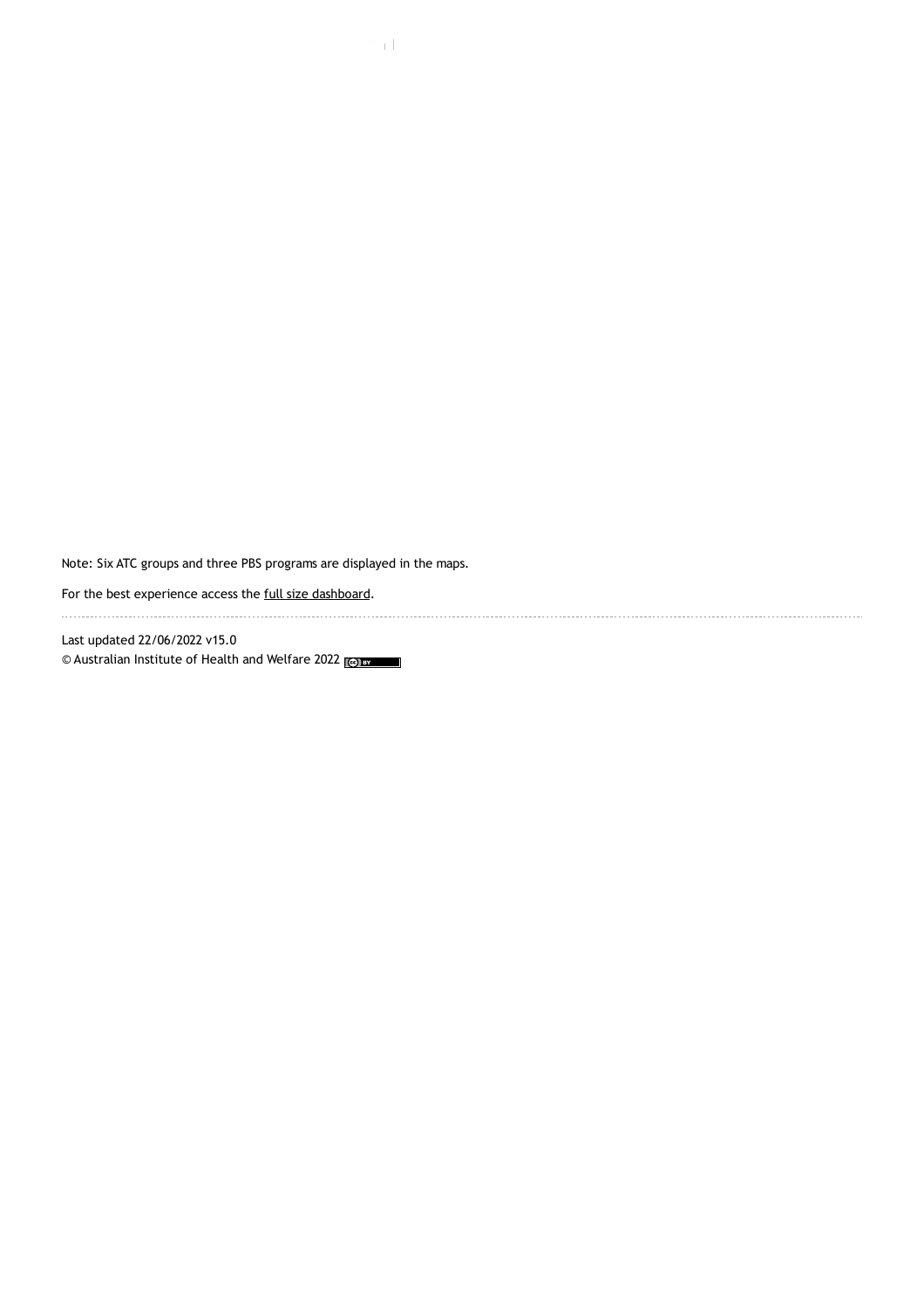Note: Six ATC groups and three PBS programs are displayed in the maps.

For the best experience access the full size [dashboard.](https://aihw.maps.arcgis.com/apps/webappviewer/index.html?id=50269963ef2c4e028e85d7355ee9df62)

Last updated 22/06/2022 v15.0 © Australian Institute of Health and Welfare 2022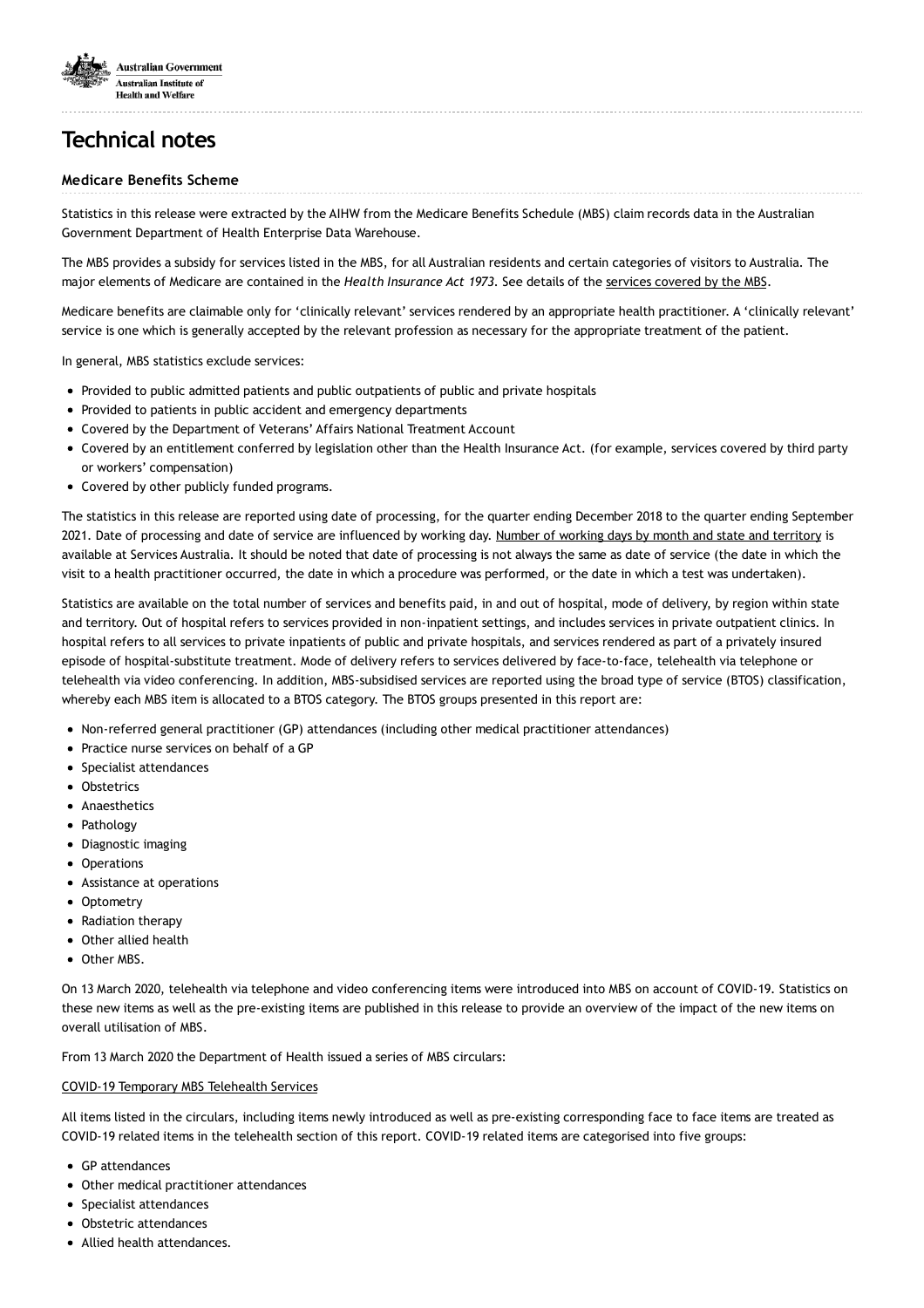

# **Technical notes**

#### **Medicare Benefits Scheme**

Statistics in this release were extracted by the AIHW from the Medicare Benefits Schedule (MBS) claim records data in the Australian Government Department of Health Enterprise Data Warehouse.

The MBS provides a subsidy for services listed in the MBS, for all Australian residents and certain categories of visitors to Australia. The major elements of Medicare are contained in the *Health Insurance Act 1973*. See details of the services [covered](http://www.mbsonline.gov.au/internet/mbsonline/publishing.nsf/Content/downloads) by the MBS.

Medicare benefits are claimable only for 'clinically relevant' services rendered by an appropriate health practitioner. A 'clinically relevant' service is one which is generally accepted by the relevant profession as necessary for the appropriate treatment of the patient.

In general, MBS statistics exclude services:

- Provided to public admitted patients and public outpatients of public and private hospitals
- Provided to patients in public accident and emergency departments
- Covered by the Department of Veterans' Affairs National Treatment Account
- Covered by an entitlement conferred by legislation other than the Health Insurance Act. (for example, services covered by third party or workers' compensation)
- Covered by other publicly funded programs.

The statistics in this release are reported using date of processing, for the quarter ending December 2018 to the quarter ending September 2021. Date of processing and date of service are influenced by working day. Number of working days by month and state and [territory](http://medicarestatistics.humanservices.gov.au/statistics/do.jsp?_PROGRAM=/statistics/std_workdays&RPT_FMT=workdays&START_DT=0&END_DT=0) is available at Services Australia. It should be noted that date of processing is not always the same as date of service (the date in which the visit to a health practitioner occurred, the date in which a procedure was performed, or the date in which a test was undertaken).

Statistics are available on the total number of services and benefits paid, in and out of hospital, mode of delivery, by region within state and territory. Out of hospital refers to services provided in non-inpatient settings, and includes services in private outpatient clinics. In hospital refers to all services to private inpatients of public and private hospitals, and services rendered as part of a privately insured episode of hospital-substitute treatment. Mode of delivery refers to services delivered by face-to-face, telehealth via telephone or telehealth via video conferencing. In addition, MBS-subsidised services are reported using the broad type of service (BTOS) classification, whereby each MBS item is allocated to a BTOS category. The BTOS groups presented in this report are:

- Non-referred general practitioner (GP) attendances (including other medical practitioner attendances)
- Practice nurse services on behalf of a GP
- Specialist attendances
- **Obstetrics**
- Anaesthetics
- Pathology
- Diagnostic imaging
- Operations
- Assistance at operations
- Optometry
- Radiation therapy
- Other allied health
- Other MBS.

On 13 March 2020, telehealth via telephone and video conferencing items were introduced into MBS on account of COVID-19. Statistics on these new items as well as the pre-existing items are published in this release to provide an overview of the impact of the new items on overall utilisation of MBS.

From 13 March 2020 the Department of Health issued a series of MBS circulars:

#### COVID-19 [Temporary](http://www.mbsonline.gov.au/internet/mbsonline/publishing.nsf/Content/Factsheet-TempBB) MBS Telehealth Services

All items listed in the circulars, including items newly introduced as well as pre-existing corresponding face to face items are treated as COVID-19 related items in the telehealth section of this report. COVID-19 related items are categorised into five groups:

- GP attendances
- Other medical practitioner attendances
- Specialist attendances
- Obstetric attendances
- Allied health attendances.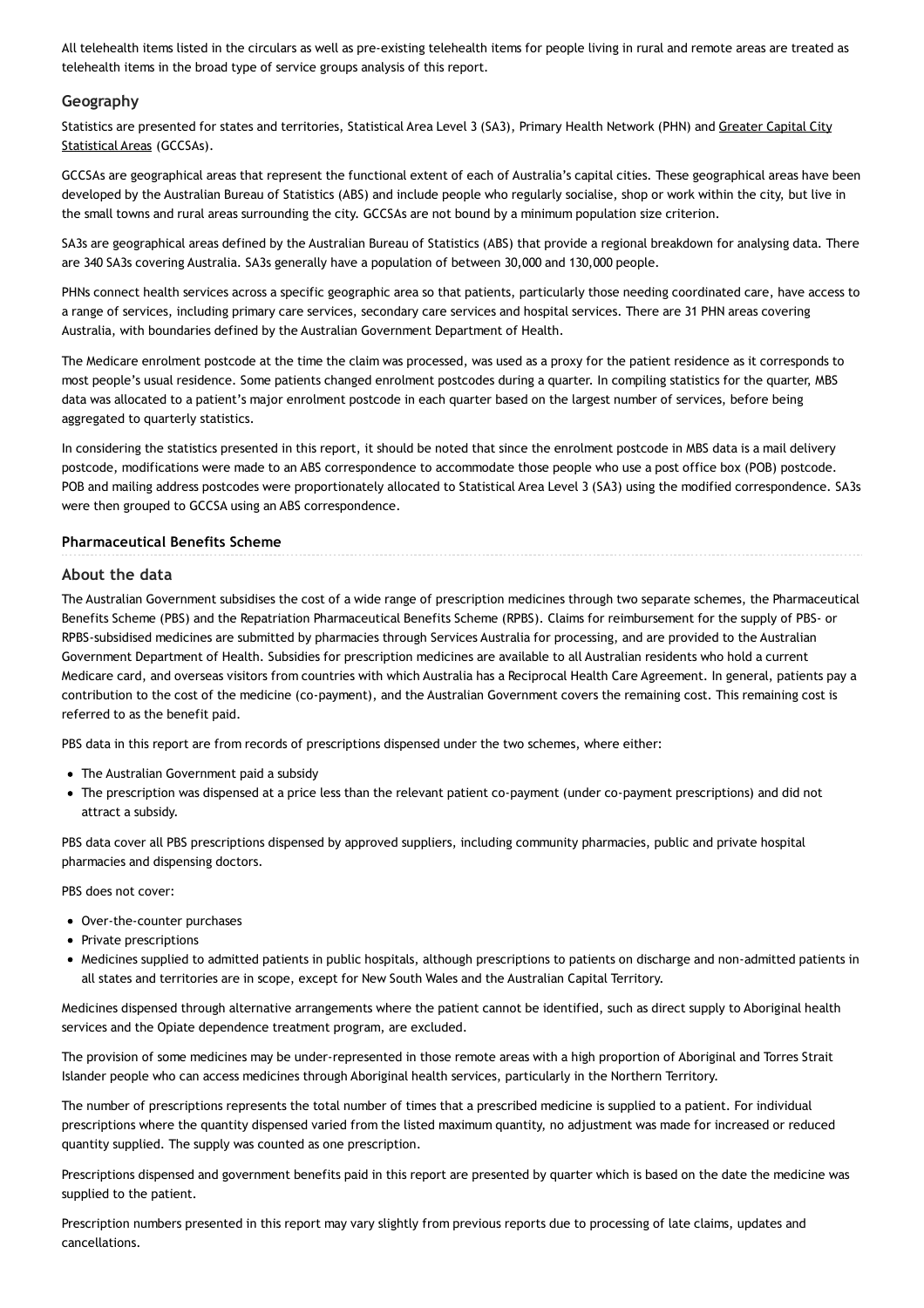All telehealth items listed in the circulars as well as pre-existing telehealth items for people living in rural and remote areas are treated as telehealth items in the broad type of service groups analysis of this report.

#### **Geography**

Statistics are presented for states and [territories,](https://www.abs.gov.au/ausstats/abs@.nsf/Lookup/by Subject/1270.0.55.001~July 2016~Main Features~Greater Capital City Statistical Areas (GCCSA)~10003) Statistical Area Level 3 (SA3), Primary Health Network (PHN) and Greater Capital City Statistical Areas (GCCSAs).

GCCSAs are geographical areas that represent the functional extent of each of Australia's capital cities. These geographical areas have been developed by the Australian Bureau of Statistics (ABS) and include people who regularly socialise, shop or work within the city, but live in the small towns and rural areas surrounding the city. GCCSAs are not bound by a minimum population size criterion.

SA3s are geographical areas defined by the Australian Bureau of Statistics (ABS) that provide a regional breakdown for analysing data. There are 340 SA3s covering Australia. SA3s generally have a population of between 30,000 and 130,000 people.

PHNs connect health services across a specific geographic area so that patients, particularly those needing coordinated care, have access to a range of services, including primary care services, secondary care services and hospital services. There are 31 PHN areas covering Australia, with boundaries defined by the Australian Government Department of Health.

The Medicare enrolment postcode at the time the claim was processed, was used as a proxy for the patient residence as it corresponds to most people's usual residence. Some patients changed enrolment postcodes during a quarter. In compiling statistics for the quarter, MBS data was allocated to a patient's major enrolment postcode in each quarter based on the largest number of services, before being aggregated to quarterly statistics.

In considering the statistics presented in this report, it should be noted that since the enrolment postcode in MBS data is a mail delivery postcode, modifications were made to an ABS correspondence to accommodate those people who use a post office box (POB) postcode. POB and mailing address postcodes were proportionately allocated to Statistical Area Level 3 (SA3) using the modified correspondence. SA3s were then grouped to GCCSA using an ABS correspondence.

#### **Pharmaceutical Benefits Scheme**

#### **About the data**

The Australian Government subsidises the cost of a wide range of prescription medicines through two separate schemes, the Pharmaceutical Benefits Scheme (PBS) and the Repatriation Pharmaceutical Benefits Scheme (RPBS). Claims for reimbursement for the supply of PBS- or RPBS-subsidised medicines are submitted by pharmacies through Services Australia for processing, and are provided to the Australian Government Department of Health. Subsidies for prescription medicines are available to all Australian residents who hold a current Medicare card, and overseas visitors from countries with which Australia has a Reciprocal Health Care Agreement. In general, patients pay a contribution to the cost of the medicine (co-payment), and the Australian Government covers the remaining cost. This remaining cost is referred to as the benefit paid.

PBS data in this report are from records of prescriptions dispensed under the two schemes, where either:

- The Australian Government paid a subsidy
- The prescription was dispensed at a price less than the relevant patient co-payment (under co-payment prescriptions) and did not attract a subsidy.

PBS data cover all PBS prescriptions dispensed by approved suppliers, including community pharmacies, public and private hospital pharmacies and dispensing doctors.

PBS does not cover:

- Over-the-counter purchases
- Private prescriptions
- Medicines supplied to admitted patients in public hospitals, although prescriptions to patients on discharge and non-admitted patients in all states and territories are in scope, except for New South Wales and the Australian Capital Territory.

Medicines dispensed through alternative arrangements where the patient cannot be identified, such as direct supply to Aboriginal health services and the Opiate dependence treatment program, are excluded.

The provision of some medicines may be under-represented in those remote areas with a high proportion of Aboriginal and Torres Strait Islander people who can access medicines through Aboriginal health services, particularly in the Northern Territory.

The number of prescriptions represents the total number of times that a prescribed medicine is supplied to a patient. For individual prescriptions where the quantity dispensed varied from the listed maximum quantity, no adjustment was made for increased or reduced quantity supplied. The supply was counted as one prescription.

Prescriptions dispensed and government benefits paid in this report are presented by quarter which is based on the date the medicine was supplied to the patient.

Prescription numbers presented in this report may vary slightly from previous reports due to processing of late claims, updates and cancellations.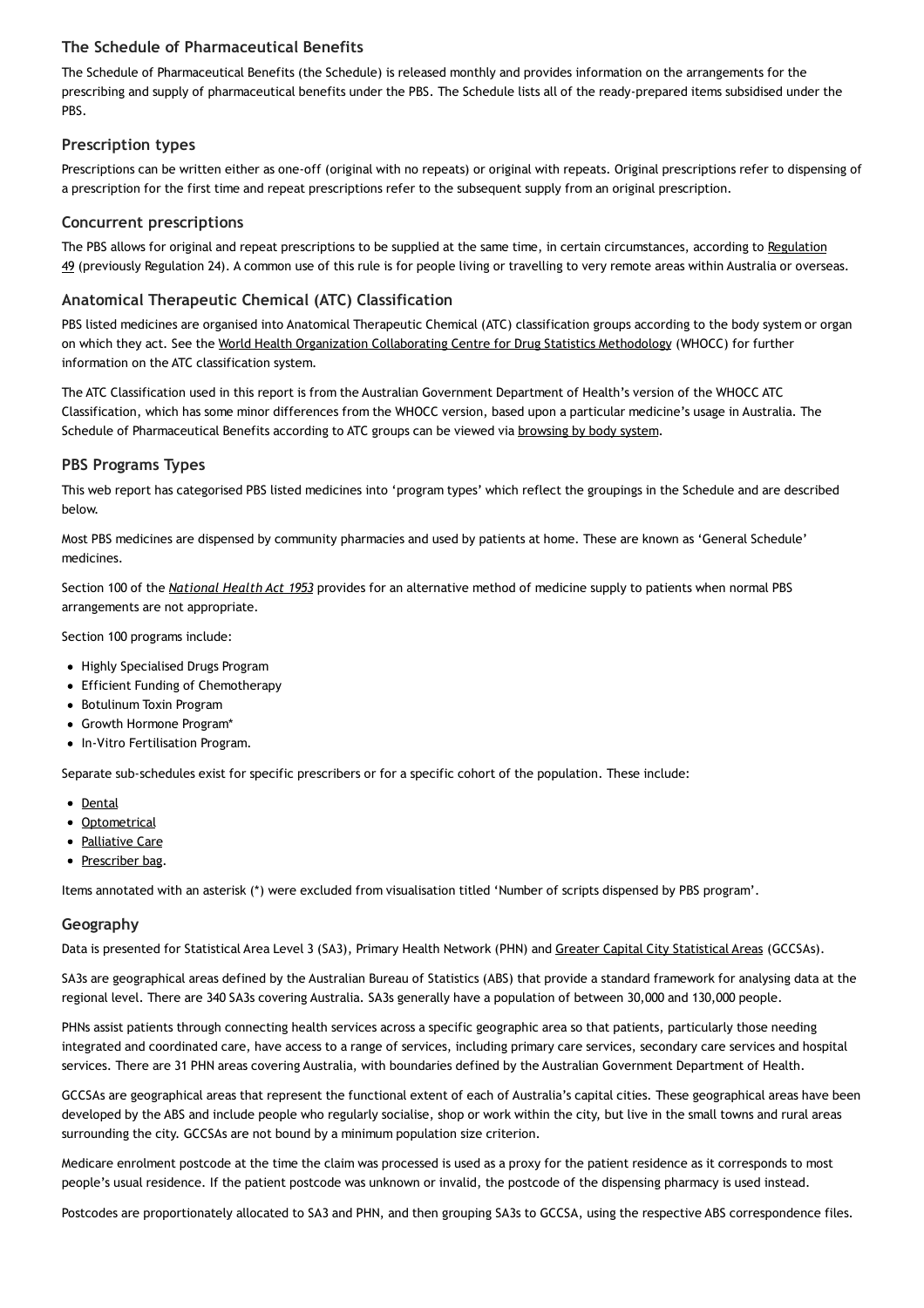### **The Schedule of Pharmaceutical Benefits**

The Schedule of Pharmaceutical Benefits (the Schedule) is released monthly and provides information on the arrangements for the prescribing and supply of pharmaceutical benefits under the PBS. The Schedule lists all of the ready-prepared items subsidised under the PBS.

### **Prescription types**

Prescriptions can be written either as one-off (original with no repeats) or original with repeats. Original prescriptions refer to dispensing of a prescription for the first time and repeat prescriptions refer to the subsequent supply from an original prescription.

### **Concurrent prescriptions**

The PBS allows for original and repeat prescriptions to be supplied at the same time, in certain [circumstances,](https://www.pbs.gov.au/info/general/faq#WhatisRegulation49) according to Regulation 49 (previously Regulation 24). A common use of this rule is for people living or travelling to very remote areas within Australia or overseas.

### **Anatomical Therapeutic Chemical (ATC) Classification**

PBS listed medicines are organised into Anatomical Therapeutic Chemical (ATC) classification groups according to the body system or organ on which they act. See the World Health Organization [Collaborating](https://www.whocc.no/atc/structure_and_principles/) Centre for Drug Statistics Methodology (WHOCC) for further information on the ATC classification system.

The ATC Classification used in this report is from the Australian Government Department of Health's version of the WHOCC ATC Classification, which has some minor differences from the WHOCC version, based upon a particular medicine's usage in Australia. The Schedule of Pharmaceutical Benefits according to ATC groups can be viewed via [browsing](https://www.pbs.gov.au/browse/body-system?depth=1&codes=j) by body system.

### **PBS Programs Types**

This web report has categorised PBS listed medicines into 'program types' which reflect the groupings in the Schedule and are described below.

Most PBS medicines are dispensed by community pharmacies and used by patients at home. These are known as 'General Schedule' medicines.

Section 100 of the *[National](https://www.legislation.gov.au/Series/C2004A07404) Health Act 1953* provides for an alternative method of medicine supply to patients when normal PBS arrangements are not appropriate.

Section 100 programs include:

- Highly Specialised Drugs Program
- Efficient Funding of Chemotherapy
- Botulinum Toxin Program
- Growth Hormone Program\*
- In-Vitro Fertilisation Program.

Separate sub-schedules exist for specific prescribers or for a specific cohort of the population. These include:

- [Dental](https://www.pbs.gov.au/browse/dental)
- [Optometrical](https://www.pbs.gov.au/browse/optometrical)
- [Palliative](https://www.pbs.gov.au/browse/palliative-care) Care
- [Prescriber](https://www.pbs.gov.au/browse/doctorsbag) bag.

Items annotated with an asterisk (\*) were excluded from visualisation titled 'Number of scripts dispensed by PBS program'.

#### **Geography**

Data is presented for [Statistical](https://www.abs.gov.au/ausstats/abs@.nsf/Lookup/by Subject/1270.0.55.001~July 2016~Main Features~Greater Capital City Statistical Areas (GCCSA)~10003) Area Level 3 (SA3), Primary Health Network (PHN) and Greater Capital City Statistical Areas (GCCSAs).

SA3s are geographical areas defined by the Australian Bureau of Statistics (ABS) that provide a standard framework for analysing data at the regional level. There are 340 SA3s covering Australia. SA3s generally have a population of between 30,000 and 130,000 people.

PHNs assist patients through connecting health services across a specific geographic area so that patients, particularly those needing integrated and coordinated care, have access to a range of services, including primary care services, secondary care services and hospital services. There are 31 PHN areas covering Australia, with boundaries defined by the Australian Government Department of Health.

GCCSAs are geographical areas that represent the functional extent of each of Australia's capital cities. These geographical areas have been developed by the ABS and include people who regularly socialise, shop or work within the city, but live in the small towns and rural areas surrounding the city. GCCSAs are not bound by a minimum population size criterion.

Medicare enrolment postcode at the time the claim was processed is used as a proxy for the patient residence as it corresponds to most people's usual residence. If the patient postcode was unknown or invalid, the postcode of the dispensing pharmacy is used instead.

Postcodes are proportionately allocated to SA3 and PHN, and then grouping SA3s to GCCSA, using the respective ABS correspondence files.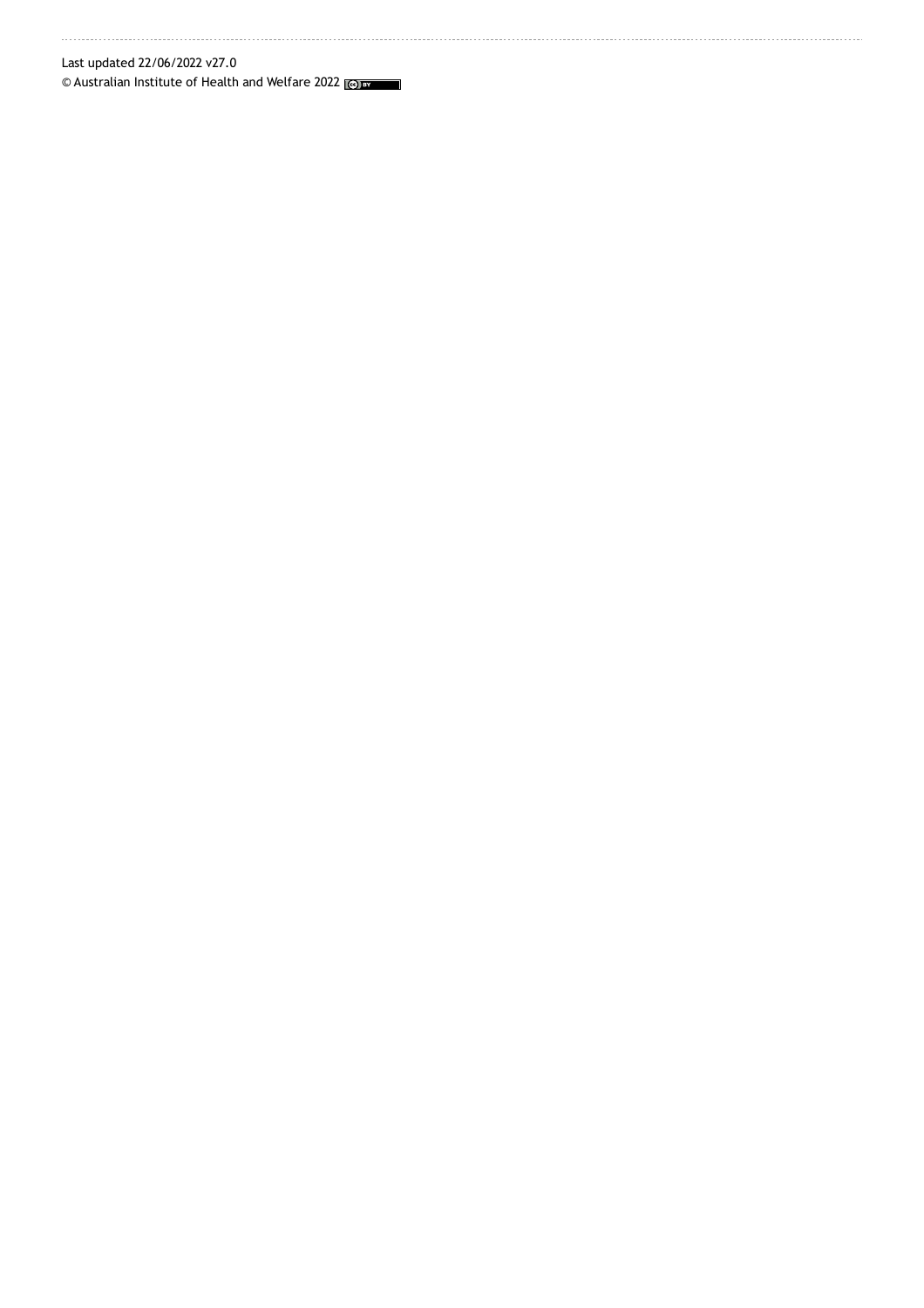Last updated 22/06/2022 v27.0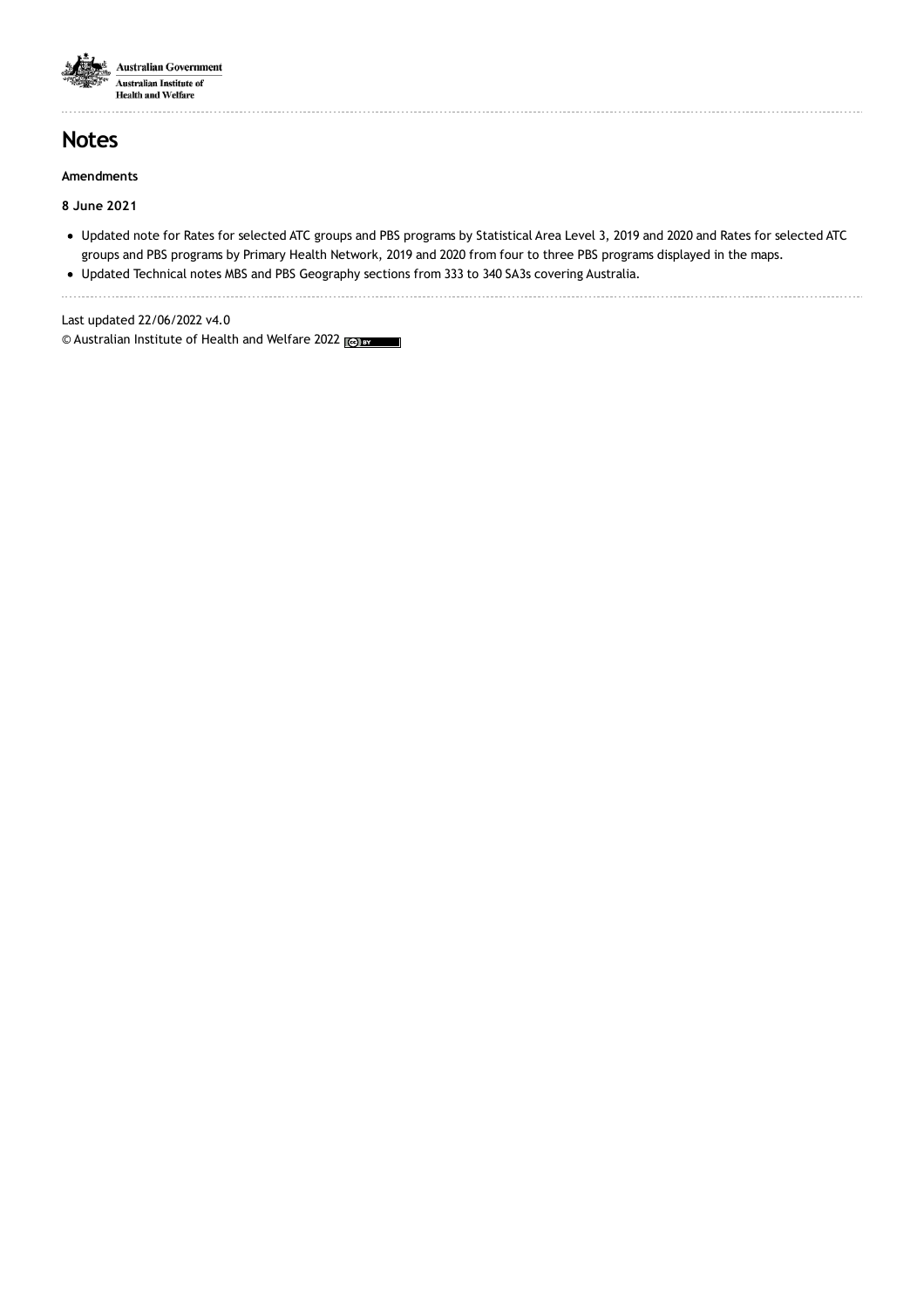

## **Notes**

#### **Amendments**

### **8 June 2021**

Updated note for Rates for selected ATC groups and PBS programs by Statistical Area Level 3, 2019 and 2020 and Rates for selected ATC groups and PBS programs by Primary Health Network, 2019 and 2020 from four to three PBS programs displayed in the maps.

Updated Technical notes MBS and PBS Geography sections from 333 to 340 SA3s covering Australia.

Last updated 22/06/2022 v4.0 © Australian Institute of Health and Welfare 2022 <sub>Lee</sub> By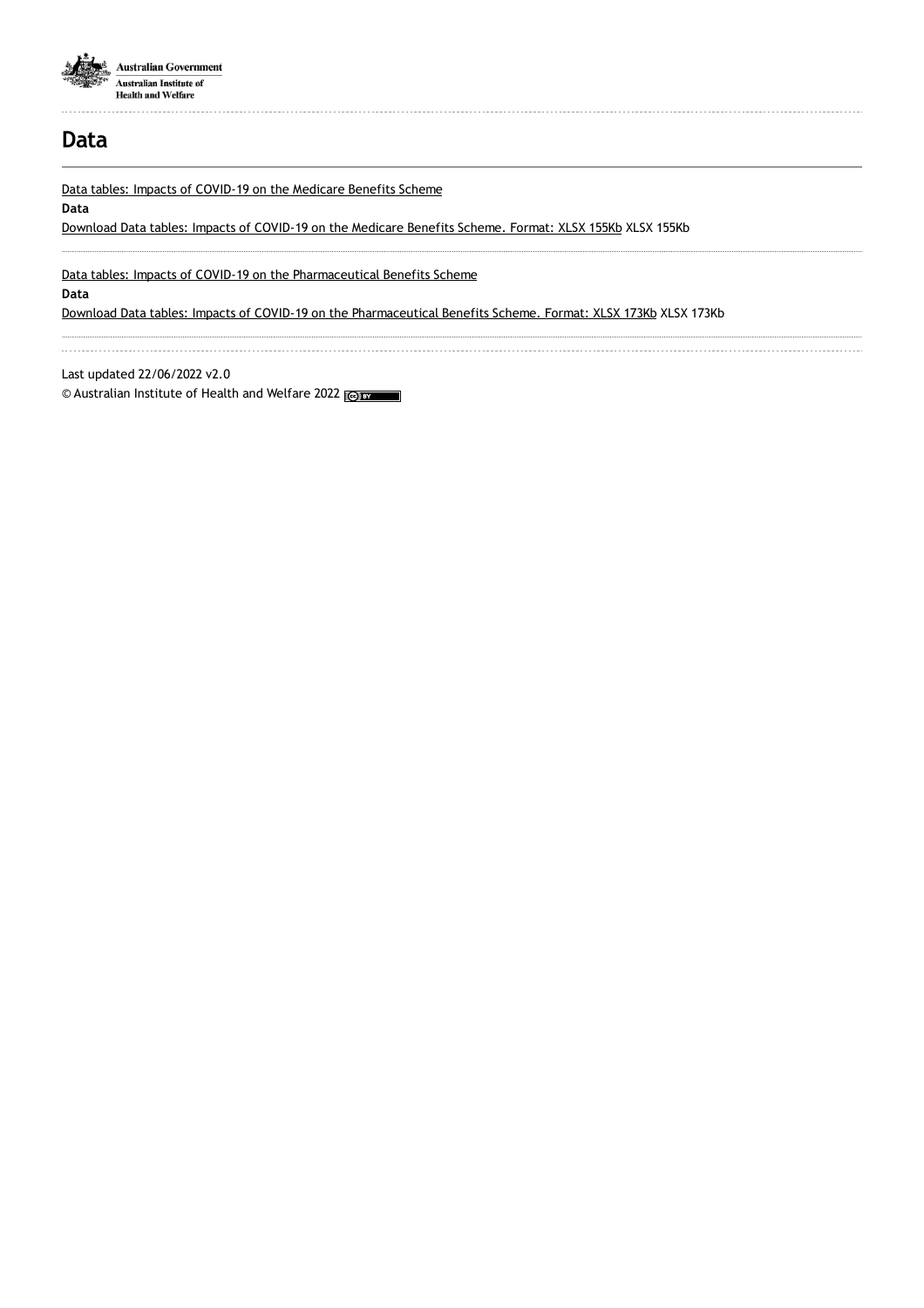

## **Data**

Data tables: Impacts of [COVID-19](https://www.aihw.gov.au/getmedia/49858f4e-c618-4a87-a3aa-8b89c0256a26/aihw-hpf-66-MBS-Data-Tables.xlsx.aspx) on the Medicare Benefits Scheme

#### **Data**

[Download](https://www.aihw.gov.au/getmedia/49858f4e-c618-4a87-a3aa-8b89c0256a26/aihw-hpf-66-MBS-Data-Tables.xlsx.aspx) Data tables: Impacts of COVID-19 on the Medicare Benefits Scheme. Format: XLSX 155Kb XLSX 155Kb

Data tables: Impacts of COVID-19 on the [Pharmaceutical](https://www.aihw.gov.au/getmedia/b7b4e54f-fa4a-4a0e-bccd-257a95c766de/aihw-hpf-66-PBS-Data-Tables.xlsx.aspx) Benefits Scheme

#### **Data**

Download Data tables: Impacts of COVID-19 on the [Pharmaceutical](https://www.aihw.gov.au/getmedia/b7b4e54f-fa4a-4a0e-bccd-257a95c766de/aihw-hpf-66-PBS-Data-Tables.xlsx.aspx) Benefits Scheme. Format: XLSX 173Kb XLSX 173Kb

Last updated 22/06/2022 v2.0